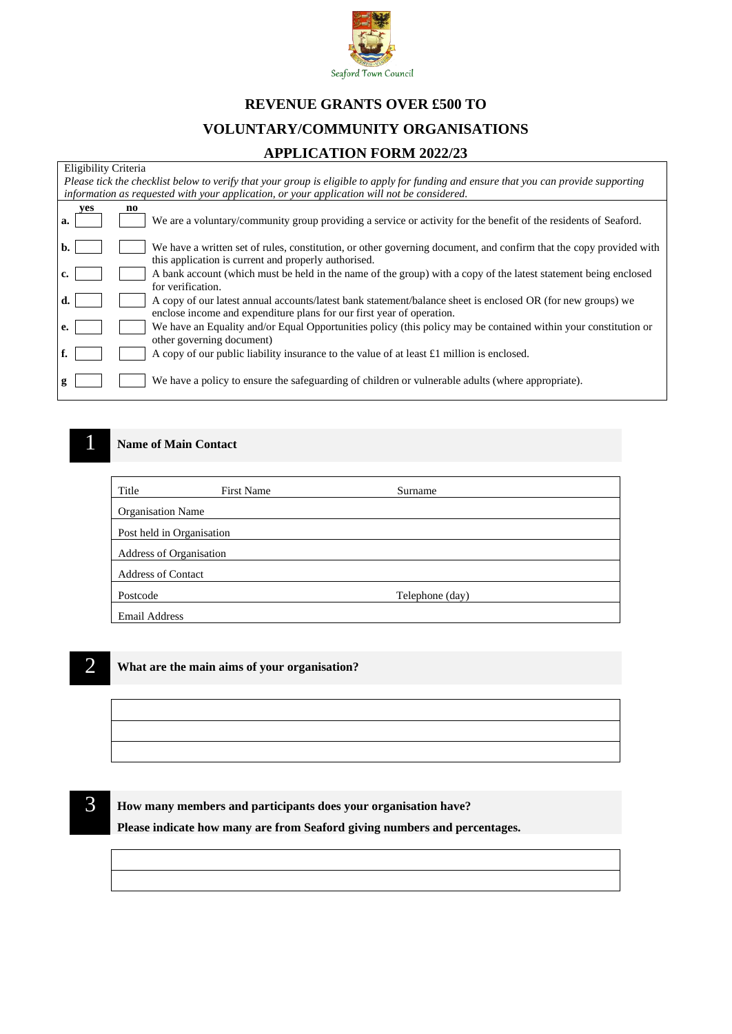

# **REVENUE GRANTS OVER £500 TO**

## **VOLUNTARY/COMMUNITY ORGANISATIONS**

### **APPLICATION FORM 2022/23**

| Eligibility Criteria                                                                                                                  |                                                                                                                                                                                      |  |  |  |
|---------------------------------------------------------------------------------------------------------------------------------------|--------------------------------------------------------------------------------------------------------------------------------------------------------------------------------------|--|--|--|
| Please tick the checklist below to verify that your group is eligible to apply for funding and ensure that you can provide supporting |                                                                                                                                                                                      |  |  |  |
| information as requested with your application, or your application will not be considered.                                           |                                                                                                                                                                                      |  |  |  |
| ves<br>а.                                                                                                                             | no<br>We are a voluntary/community group providing a service or activity for the benefit of the residents of Seaford.                                                                |  |  |  |
| b.                                                                                                                                    | We have a written set of rules, constitution, or other governing document, and confirm that the copy provided with<br>this application is current and properly authorised.           |  |  |  |
| c.                                                                                                                                    | A bank account (which must be held in the name of the group) with a copy of the latest statement being enclosed<br>for verification.                                                 |  |  |  |
| d.                                                                                                                                    | A copy of our latest annual accounts/latest bank statement/balance sheet is enclosed OR (for new groups) we<br>enclose income and expenditure plans for our first year of operation. |  |  |  |
| e.                                                                                                                                    | We have an Equality and/or Equal Opportunities policy (this policy may be contained within your constitution or                                                                      |  |  |  |
|                                                                                                                                       | other governing document)                                                                                                                                                            |  |  |  |
| f.                                                                                                                                    | A copy of our public liability insurance to the value of at least £1 million is enclosed.                                                                                            |  |  |  |
| g                                                                                                                                     | We have a policy to ensure the safeguarding of children or vulnerable adults (where appropriate).                                                                                    |  |  |  |

### **1 Name of Main Contact**

| Title                     | <b>First Name</b> | Surname         |  |
|---------------------------|-------------------|-----------------|--|
| <b>Organisation Name</b>  |                   |                 |  |
| Post held in Organisation |                   |                 |  |
| Address of Organisation   |                   |                 |  |
| <b>Address of Contact</b> |                   |                 |  |
| Postcode                  |                   | Telephone (day) |  |
| <b>Email Address</b>      |                   |                 |  |

2 **What are the main aims of your organisation?**

3 **How many members and participants does your organisation have?**

**Please indicate how many are from Seaford giving numbers and percentages.**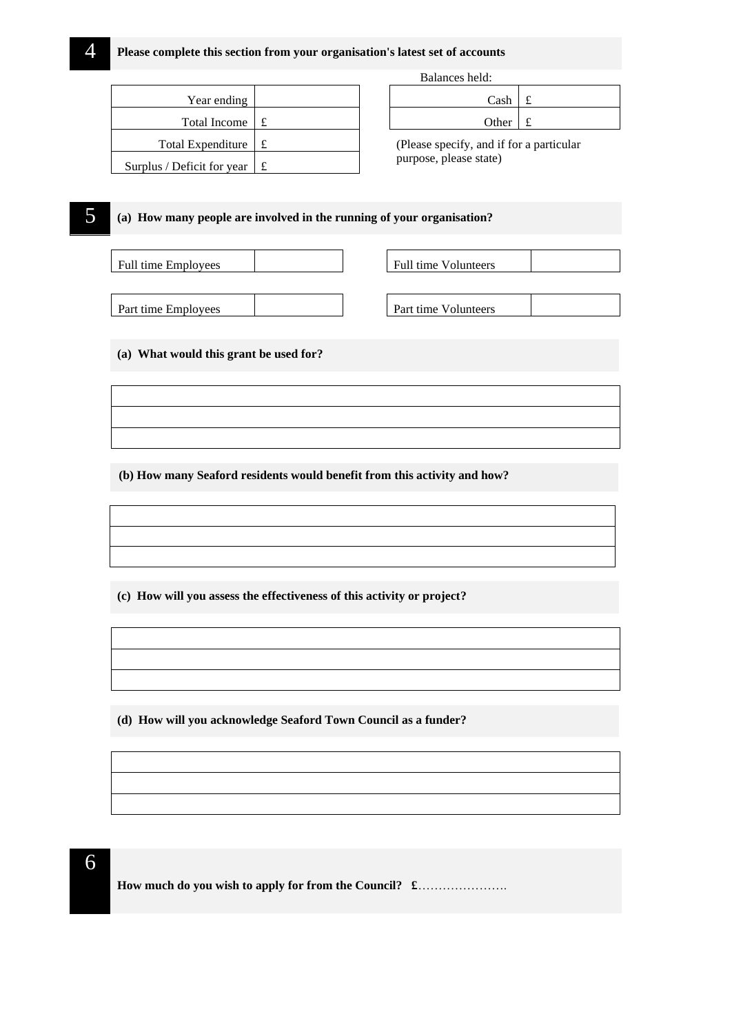| Year ending                |  | Cash                          |   |
|----------------------------|--|-------------------------------|---|
| <b>Total Income</b>        |  | Other                         | £ |
| <b>Total Expenditure</b>   |  | (Please specify, and if for a |   |
| Surplus / Deficit for year |  | purpose, please state)        |   |

Balances held:

| $Cash \mid f$ |  |
|---------------|--|
| Other £       |  |

(Please specify, and if for a particular purpose, please state)

### 5 **(a) How many people are involved in the running of your organisation?**

| <b>Full time Employees</b> |  | Full time Volunteers |  |
|----------------------------|--|----------------------|--|
|                            |  |                      |  |
| Part time Employees        |  | Part time Volunteers |  |

**(a) What would this grant be used for?**

**(b) How many Seaford residents would benefit from this activity and how?**

**(c) How will you assess the effectiveness of this activity or project?**

**(d) How will you acknowledge Seaford Town Council as a funder?**

6

**How much do you wish to apply for from the Council? £**………………….